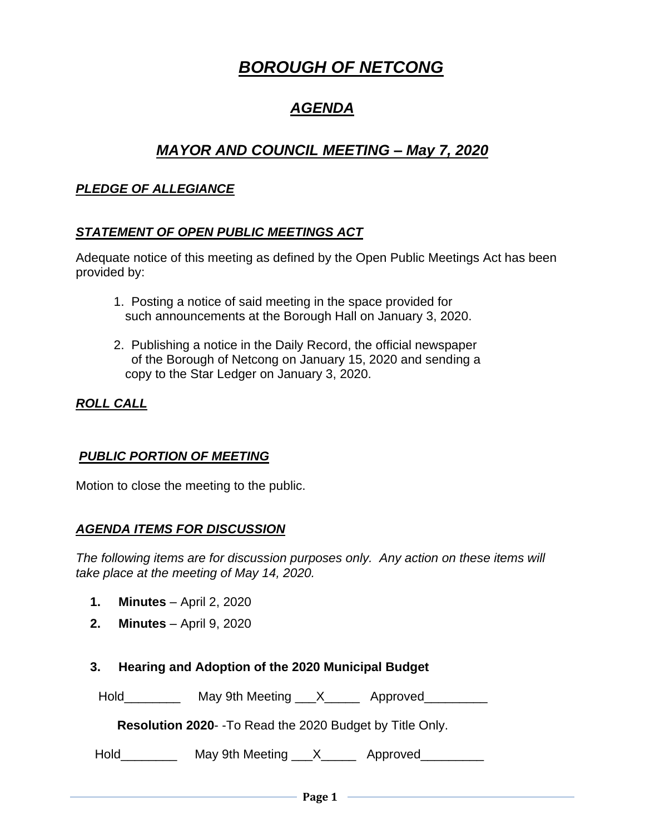# *BOROUGH OF NETCONG*

# *AGENDA*

# *MAYOR AND COUNCIL MEETING – May 7, 2020*

### *PLEDGE OF ALLEGIANCE*

### *STATEMENT OF OPEN PUBLIC MEETINGS ACT*

Adequate notice of this meeting as defined by the Open Public Meetings Act has been provided by:

- 1. Posting a notice of said meeting in the space provided for such announcements at the Borough Hall on January 3, 2020.
- 2. Publishing a notice in the Daily Record, the official newspaper of the Borough of Netcong on January 15, 2020 and sending a copy to the Star Ledger on January 3, 2020.

# *ROLL CALL*

#### *PUBLIC PORTION OF MEETING*

Motion to close the meeting to the public.

#### *AGENDA ITEMS FOR DISCUSSION*

*The following items are for discussion purposes only. Any action on these items will take place at the meeting of May 14, 2020.*

- **1. Minutes** April 2, 2020
- **2. Minutes** April 9, 2020
- **3. Hearing and Adoption of the 2020 Municipal Budget**

Hold May 9th Meeting X Approved

**Resolution 2020**- -To Read the 2020 Budget by Title Only.

Hold\_\_\_\_\_\_\_\_\_\_\_ May 9th Meeting \_\_\_X\_\_\_\_\_\_ Approved\_\_\_\_\_\_\_\_\_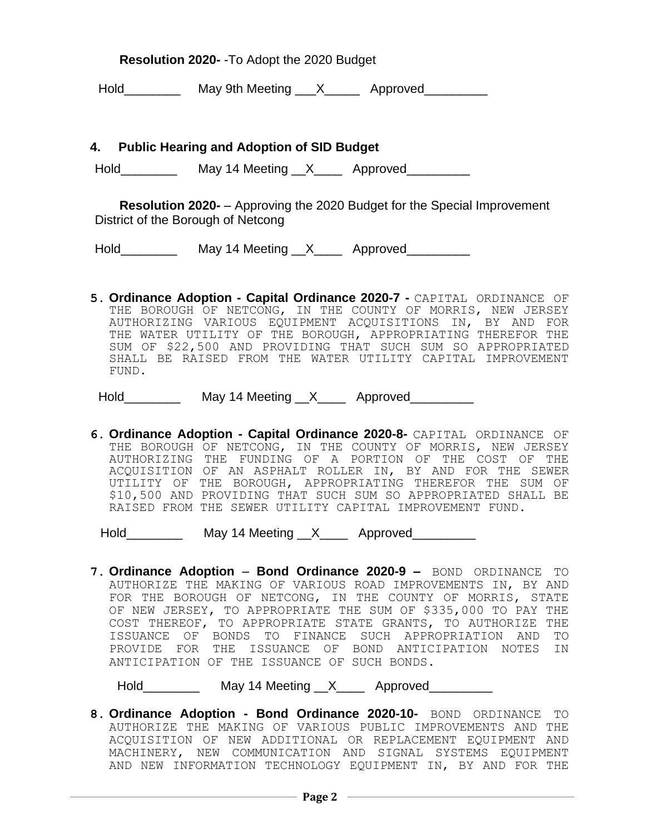**Resolution 2020-** -To Adopt the 2020 Budget

Hold May 9th Meeting X Approved

#### **4. Public Hearing and Adoption of SID Budget**

Hold May 14 Meeting X Approved

 **Resolution 2020-** – Approving the 2020 Budget for the Special Improvement District of the Borough of Netcong

Hold\_\_\_\_\_\_\_\_\_\_\_\_ May 14 Meeting \_\_X\_\_\_\_\_ Approved\_\_\_\_\_\_\_\_\_

**5. Ordinance Adoption - Capital Ordinance 2020-7 -** CAPITAL ORDINANCE OF THE BOROUGH OF NETCONG, IN THE COUNTY OF MORRIS, NEW JERSEY AUTHORIZING VARIOUS EQUIPMENT ACQUISITIONS IN, BY AND FOR THE WATER UTILITY OF THE BOROUGH, APPROPRIATING THEREFOR THE SUM OF \$22,500 AND PROVIDING THAT SUCH SUM SO APPROPRIATED SHALL BE RAISED FROM THE WATER UTILITY CAPITAL IMPROVEMENT FUND.

Hold\_\_\_\_\_\_\_\_\_\_\_ May 14 Meeting \_\_X\_\_\_\_ Approved\_\_\_\_\_\_\_\_\_

**6. Ordinance Adoption - Capital Ordinance 2020-8-** CAPITAL ORDINANCE OF THE BOROUGH OF NETCONG, IN THE COUNTY OF MORRIS, NEW JERSEY AUTHORIZING THE FUNDING OF A PORTION OF THE COST OF THE ACQUISITION OF AN ASPHALT ROLLER IN, BY AND FOR THE SEWER UTILITY OF THE BOROUGH, APPROPRIATING THEREFOR THE SUM OF \$10,500 AND PROVIDING THAT SUCH SUM SO APPROPRIATED SHALL BE RAISED FROM THE SEWER UTILITY CAPITAL IMPROVEMENT FUND.

Hold\_\_\_\_\_\_\_\_\_\_\_ May 14 Meeting \_\_X\_\_\_\_\_ Approved\_\_\_\_\_\_\_\_\_

**7. Ordinance Adoption** – **Bond Ordinance 2020-9 –** BOND ORDINANCE TO AUTHORIZE THE MAKING OF VARIOUS ROAD IMPROVEMENTS IN, BY AND FOR THE BOROUGH OF NETCONG, IN THE COUNTY OF MORRIS, STATE OF NEW JERSEY, TO APPROPRIATE THE SUM OF \$335,000 TO PAY THE COST THEREOF, TO APPROPRIATE STATE GRANTS, TO AUTHORIZE THE ISSUANCE OF BONDS TO FINANCE SUCH APPROPRIATION AND TO PROVIDE FOR THE ISSUANCE OF BOND ANTICIPATION NOTES IN ANTICIPATION OF THE ISSUANCE OF SUCH BONDS.

Hold\_\_\_\_\_\_\_\_\_\_\_ May 14 Meeting \_\_X\_\_\_\_\_ Approved\_\_\_\_\_\_\_\_\_

**8. Ordinance Adoption - Bond Ordinance 2020-10-** BOND ORDINANCE TO AUTHORIZE THE MAKING OF VARIOUS PUBLIC IMPROVEMENTS AND THE ACQUISITION OF NEW ADDITIONAL OR REPLACEMENT EQUIPMENT AND MACHINERY, NEW COMMUNICATION AND SIGNAL SYSTEMS EQUIPMENT AND NEW INFORMATION TECHNOLOGY EQUIPMENT IN, BY AND FOR THE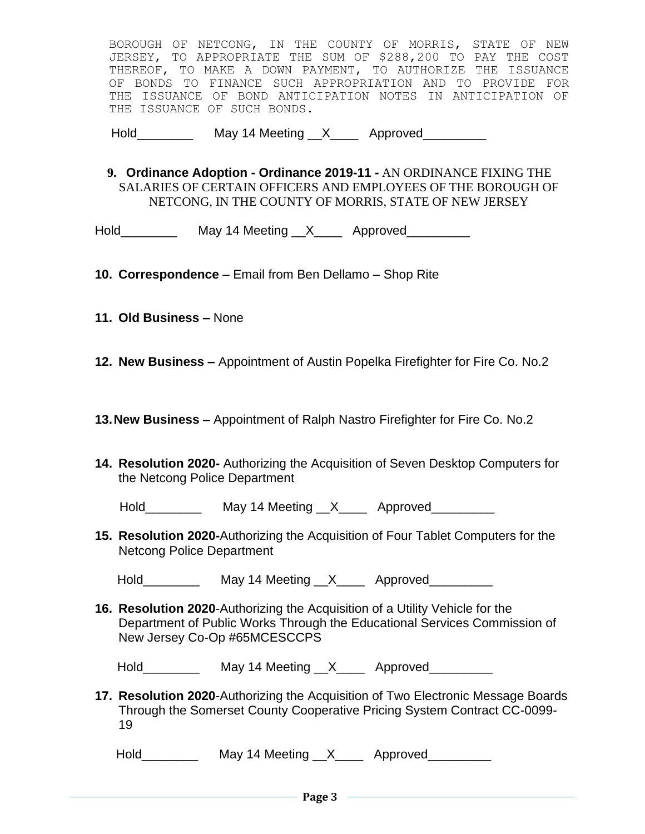BOROUGH OF NETCONG, IN THE COUNTY OF MORRIS, STATE OF NEW JERSEY, TO APPROPRIATE THE SUM OF \$288,200 TO PAY THE COST THEREOF, TO MAKE A DOWN PAYMENT, TO AUTHORIZE THE ISSUANCE OF BONDS TO FINANCE SUCH APPROPRIATION AND TO PROVIDE FOR THE ISSUANCE OF BOND ANTICIPATION NOTES IN ANTICIPATION OF THE ISSUANCE OF SUCH BONDS.

**Hold\_\_\_\_\_\_\_\_\_ May 14 Meeting \_\_X\_\_\_\_ Approved\_\_\_\_\_\_\_\_\_** 

**9. Ordinance Adoption - Ordinance 2019-11 -** AN ORDINANCE FIXING THE SALARIES OF CERTAIN OFFICERS AND EMPLOYEES OF THE BOROUGH OF NETCONG, IN THE COUNTY OF MORRIS, STATE OF NEW JERSEY

Hold\_\_\_\_\_\_\_\_\_\_ May 14 Meeting \_\_X\_\_\_\_ Approved\_\_\_\_\_\_\_\_\_

- **10. Correspondence** Email from Ben Dellamo Shop Rite
- **11. Old Business –** None

**12. New Business –** Appointment of Austin Popelka Firefighter for Fire Co. No.2

**13.New Business –** Appointment of Ralph Nastro Firefighter for Fire Co. No.2

**14. Resolution 2020-** Authorizing the Acquisition of Seven Desktop Computers for the Netcong Police Department

Hold\_\_\_\_\_\_\_\_\_\_\_ May 14 Meeting \_\_X\_\_\_\_\_ Approved\_\_\_\_\_\_\_\_\_

**15. Resolution 2020-**Authorizing the Acquisition of Four Tablet Computers for the Netcong Police Department

Hold May 14 Meeting X Approved

**16. Resolution 2020**-Authorizing the Acquisition of a Utility Vehicle for the Department of Public Works Through the Educational Services Commission of New Jersey Co-Op #65MCESCCPS

Hold May 14 Meeting X Approved

**17. Resolution 2020**-Authorizing the Acquisition of Two Electronic Message Boards Through the Somerset County Cooperative Pricing System Contract CC-0099- 19

Hold May 14 Meeting X Approved